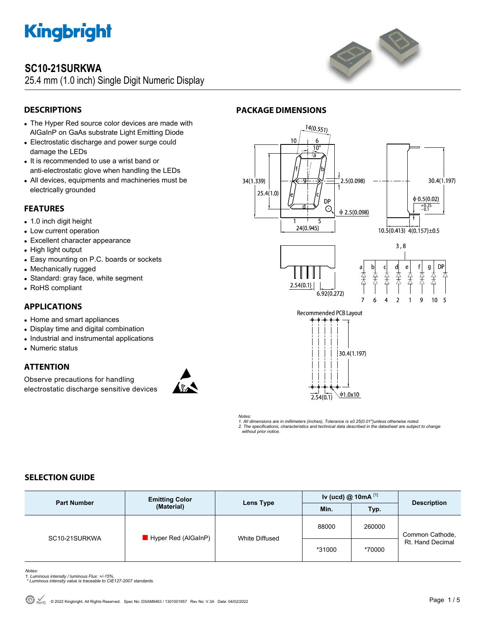

### **SC10-21SURKWA**

25.4 mm (1.0 inch) Single Digit Numeric Display



### **DESCRIPTIONS**

- The Hyper Red source color devices are made with AlGaInP on GaAs substrate Light Emitting Diode
- Electrostatic discharge and power surge could damage the LEDs
- It is recommended to use a wrist band or anti-electrostatic glove when handling the LEDs
- All devices, equipments and machineries must be electrically grounded

#### **FEATURES**

- 1.0 inch digit height
- Low current operation
- Excellent character appearance
- High light output
- Easy mounting on P.C. boards or sockets
- Mechanically rugged
- Standard: gray face, white segment
- RoHS compliant

#### **APPLICATIONS**

- Home and smart appliances
- Display time and digital combination
- Industrial and instrumental applications
- Numeric status

#### **ATTENTION**

Observe precautions for handling electrostatic discharge sensitive devices



#### **PACKAGE DIMENSIONS**



*Notes: 1. All dimensions are in millimeters (inches), Tolerance is ±0.25(0.01")unless otherwise noted. 2. The specifications, characteristics and technical data described in the datasheet are subject to change without prior notice.* 

#### **SELECTION GUIDE**

| <b>Part Number</b> | <b>Emitting Color</b><br>(Material) | Lens Type      | Iv (ucd) $@$ 10mA $^{[1]}$ |        | <b>Description</b>                  |
|--------------------|-------------------------------------|----------------|----------------------------|--------|-------------------------------------|
|                    |                                     |                | Min.                       | Typ.   |                                     |
| SC10-21SURKWA      | Hyper Red (AlGaInP)                 | White Diffused | 88000                      | 260000 | Common Cathode,<br>Rt. Hand Decimal |
|                    |                                     |                | *31000                     | *70000 |                                     |

*Notes:* 

- *1. Luminous intensity / luminous Flux: +/-15%. \* Luminous intensity value is traceable to CIE127-2007 standards.*
-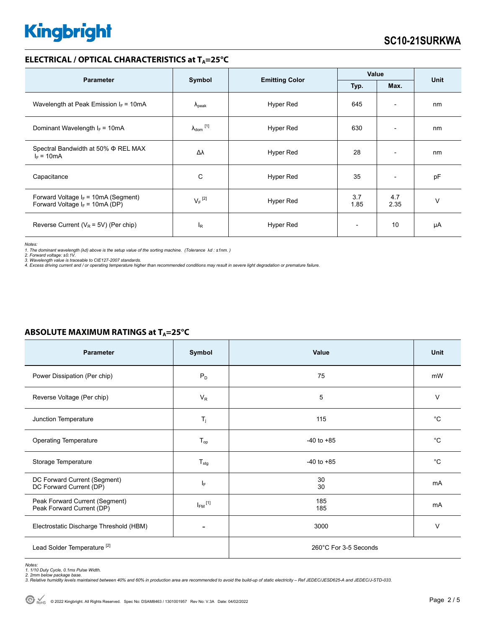#### **ELECTRICAL / OPTICAL CHARACTERISTICS at T<sub>A</sub>=25°C**

|                                                                             |                                 |           | Value                    |                          |             |  |
|-----------------------------------------------------------------------------|---------------------------------|-----------|--------------------------|--------------------------|-------------|--|
| <b>Parameter</b>                                                            | Symbol<br><b>Emitting Color</b> |           | Typ.                     | Max.                     | <b>Unit</b> |  |
| Wavelength at Peak Emission $I_F = 10mA$                                    | $\lambda_{\rm peak}$            | Hyper Red | 645                      | $\overline{\phantom{a}}$ | nm          |  |
| Dominant Wavelength $I_F = 10mA$                                            | $\lambda_{\text{dom}}$ [1]      | Hyper Red | 630                      | $\overline{\phantom{0}}$ | nm          |  |
| Spectral Bandwidth at 50% Φ REL MAX<br>$I_F = 10mA$                         | Δλ                              | Hyper Red | 28                       | $\overline{\phantom{0}}$ | nm          |  |
| Capacitance                                                                 | C                               | Hyper Red | 35                       | $\overline{\phantom{a}}$ | pF          |  |
| Forward Voltage $I_F$ = 10mA (Segment)<br>Forward Voltage $I_F$ = 10mA (DP) | $V_F$ <sup>[2]</sup>            | Hyper Red | 3.7<br>1.85              | 4.7<br>2.35              | $\vee$      |  |
| Reverse Current ( $V_R$ = 5V) (Per chip)                                    | $I_R$                           | Hyper Red | $\overline{\phantom{a}}$ | 10                       | μA          |  |

*Notes:* 

*1. The dominant wavelength (*λ*d) above is the setup value of the sorting machine. (Tolerance* λ*d : ±1nm. ) 2. Forward voltage: ±0.1V.* 

3. Wavelength value is traceable to CIE127-2007 standards.<br>4. Excess driving current and / or operating temperature higher than recommended conditions may result in severe light degradation or premature failure.

| . .                                                         |                         |                       |             |
|-------------------------------------------------------------|-------------------------|-----------------------|-------------|
| <b>Parameter</b>                                            | Symbol                  | Value                 | <b>Unit</b> |
| Power Dissipation (Per chip)                                | $P_D$                   | 75                    | mW          |
| Reverse Voltage (Per chip)                                  | $V_R$                   | 5                     | $\vee$      |
| Junction Temperature                                        | $T_{j}$                 | 115                   | $^{\circ}C$ |
| <b>Operating Temperature</b>                                | $T_{\mathsf{op}}$       | $-40$ to $+85$        | $^{\circ}C$ |
| Storage Temperature                                         | $T_{\text{stg}}$        | $-40$ to $+85$        | $^{\circ}C$ |
| DC Forward Current (Segment)<br>DC Forward Current (DP)     | IF.                     | 30<br>30              | mA          |
| Peak Forward Current (Segment)<br>Peak Forward Current (DP) | $I_{FM}$ <sup>[1]</sup> | 185<br>185            | mA          |
| Electrostatic Discharge Threshold (HBM)                     |                         | 3000                  | $\vee$      |
| Lead Solder Temperature <sup>[2]</sup>                      |                         | 260°C For 3-5 Seconds |             |

#### **ABSOLUTE MAXIMUM RATINGS at T<sub>A</sub>=25°C**

*Notes: 1. 1/10 Duty Cycle, 0.1ms Pulse Width.* 

*2. 2mm below package base. 3. Relative humidity levels maintained between 40% and 60% in production area are recommended to avoid the build-up of static electricity – Ref JEDEC/JESD625-A and JEDEC/J-STD-033.*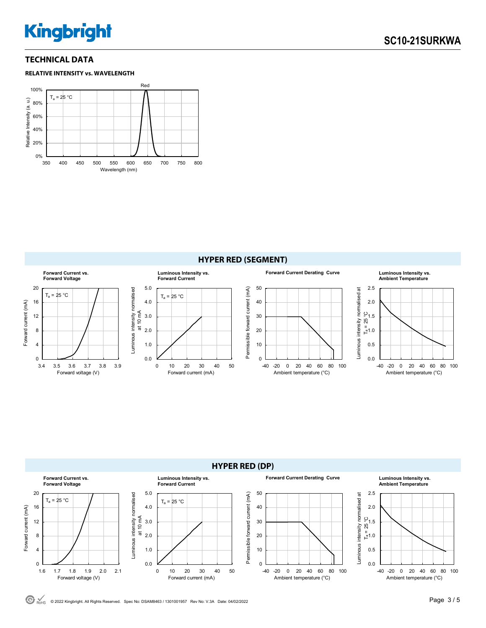#### **TECHNICAL DATA**







**HYPER RED (DP) Forward Current vs. Forward Current Derating Curve Luminous Intensity vs. Luminous Intensity vs. Forward Voltage Forward Current Ambient Temperature** 5.0 20 50 2.5 Luminous intensity normalised<br>at 10 mA Permissible forward current (mA) Luminous intensity normalised at Luminous intensity normalised Permissible forward current (mA) Luminous intensity normalised at  $T_a = 25 °C$  $T_a = 25 °C$ Forward current (mA) 16 4.0 40 2.0 Forward current (mA) 12 3.0 30  $T_a = 25^\circ C$ 1.5 8 2.0 20 1.0 4 1.0 10 0.5 0 0.0  $\theta$ 0.0 1.6 1.7 1.8 1.9 2.0 2.1 0 10 20 30 40 50 -40 -20 0 20 40 60 80 100 -40 -20 0 20 40 60 80 100 Forward voltage (V) Forward current (mA) Ambient temperature (°C) Ambient temperature (°C)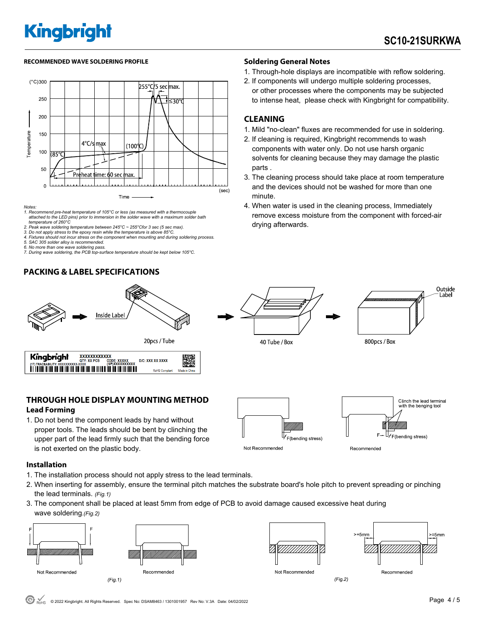#### **RECOMMENDED WAVE SOLDERING PROFILE Soldering General Notes**



*Notes:* 

*1. Recommend pre-heat temperature of 105°C or less (as measured with a thermocouple attached to the LED pins) prior to immersion in the solder wave with a maximum solder bath temperature of 260°C* 

*2. Peak wave soldering temperature between 245°C ~ 255°Cfor 3 sec (5 sec max). 3. Do not apply stress to the epoxy resin while the temperature is above 85°C.* 

*4. Fixtures should not incur stress on the component when mounting and during soldering process. 5. SAC 305 solder alloy is recommended.* 

*6. No more than one wave soldering pass.* 

*7. During wave soldering, the PCB top-surface temperature should be kept below 105°C.*

#### **PACKING & LABEL SPECIFICATIONS**



1. Through-hole displays are incompatible with reflow soldering.

2. If components will undergo multiple soldering processes, or other processes where the components may be subjected to intense heat, please check with Kingbright for compatibility.

#### **CLEANING**

40 Tube / Box

- 1. Mild "no-clean" fluxes are recommended for use in soldering.
- 2. If cleaning is required, Kingbright recommends to wash components with water only. Do not use harsh organic solvents for cleaning because they may damage the plastic parts .
- 3. The cleaning process should take place at room temperature and the devices should not be washed for more than one minute.
- 4. When water is used in the cleaning process, Immediately remove excess moisture from the component with forced-air drying afterwards.



| Kingbright                         | <b>XXXXXXXXXXXX</b> |                                      |                       |               |
|------------------------------------|---------------------|--------------------------------------|-----------------------|---------------|
| (1T) TRACEABILITY: XXXXXXXXXX-XXXX | OTY: XX PCS         | CODE: XXXXX<br><b>(SP)XXXXXXXXXX</b> | D/C: XXX XX XXXX      | W             |
|                                    |                     |                                      | <b>RoHS Compliant</b> | Made in China |

#### **THROUGH HOLE DISPLAY MOUNTING METHOD Lead Forming**

1. Do not bend the component leads by hand without proper tools. The leads should be bent by clinching the upper part of the lead firmly such that the bending force is not exerted on the plastic body.



#### **Installation**

- 1. The installation process should not apply stress to the lead terminals.
- 2. When inserting for assembly, ensure the terminal pitch matches the substrate board's hole pitch to prevent spreading or pinching the lead terminals. *(Fig.1)*
- 3. The component shall be placed at least 5mm from edge of PCB to avoid damage caused excessive heat during wave soldering.*(Fig.2)*





 $> 5mm$  $-5$ mm Recommended

800pcs / Box

 $(Fig.2)$ 

Outside Label